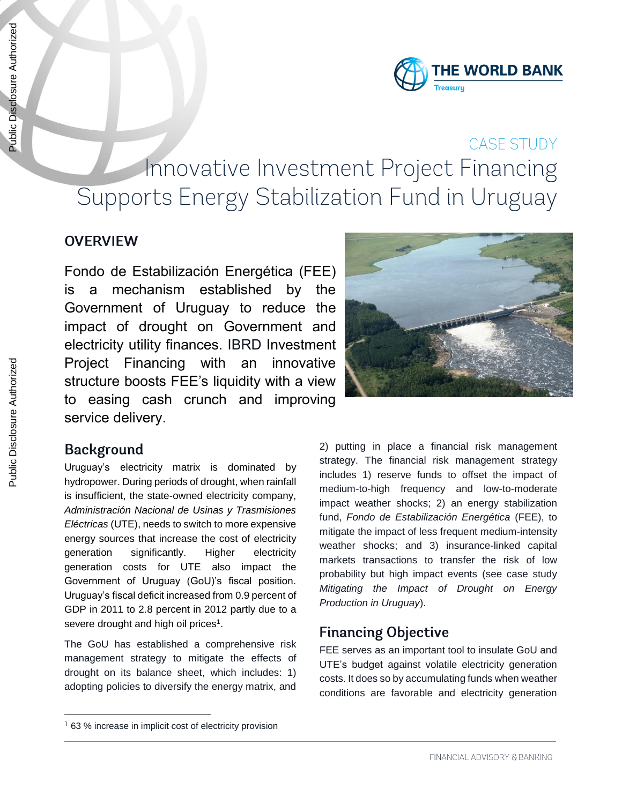Public Disclosure Authorized

Public Disclosure Authorized



# CASE STUDY Innovative Investment Project Financing Supports Energy Stabilization Fund in Uruguay

### **OVERVIEW**

Fondo de Estabilización Energética (FEE) is a mechanism established by the Government of Uruguay to reduce the impact of drought on Government and electricity utility finances. IBRD Investment Project Financing with an innovative structure boosts FEE's liquidity with a view to easing cash crunch and improving service delivery.

#### **Background**

-

Uruguay's electricity matrix is dominated by hydropower. During periods of drought, when rainfall is insufficient, the state-owned electricity company, *Administración Nacional de Usinas y Trasmisiones Eléctricas* (UTE), needs to switch to more expensive energy sources that increase the cost of electricity generation significantly. Higher electricity generation costs for UTE also impact the Government of Uruguay (GoU)'s fiscal position. Uruguay's fiscal deficit increased from 0.9 percent of GDP in 2011 to 2.8 percent in 2012 partly due to a severe drought and high oil prices<sup>1</sup>.

The GoU has established a comprehensive risk management strategy to mitigate the effects of drought on its balance sheet, which includes: 1) adopting policies to diversify the energy matrix, and

2) putting in place a financial risk management strategy. The financial risk management strategy includes 1) reserve funds to offset the impact of medium-to-high frequency and low-to-moderate impact weather shocks; 2) an energy stabilization fund, *Fondo de Estabilización Energética* (FEE), to mitigate the impact of less frequent medium-intensity weather shocks; and 3) insurance-linked capital markets transactions to transfer the risk of low probability but high impact events (see case study *Mitigating the Impact of Drought on Energy Production in Uruguay*).

#### **Financing Objective**

FEE serves as an important tool to insulate GoU and UTE's budget against volatile electricity generation costs. It does so by accumulating funds when weather conditions are favorable and electricity generation

<sup>&</sup>lt;sup>1</sup> 63 % increase in implicit cost of electricity provision